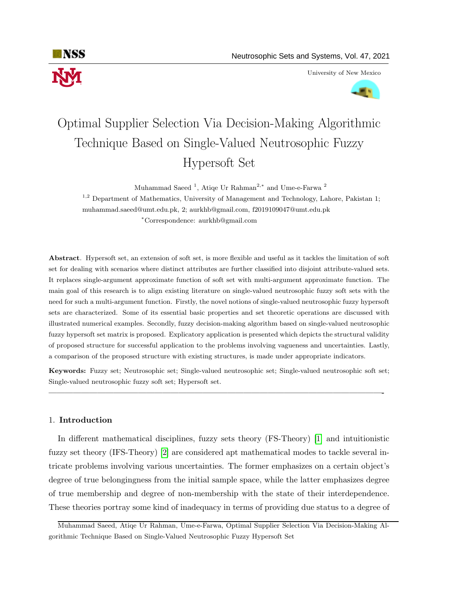

University of New Mexico



# Optimal Supplier Selection Via Decision-Making Algorithmic Technique Based on Single-Valued Neutrosophic Fuzzy Hypersoft Set

Muhammad Saeed<sup>1</sup>, Atiqe Ur Rahman<sup>2,\*</sup> and Ume-e-Farwa<sup>2</sup>

 $1,2$  Department of Mathematics, University of Management and Technology, Lahore, Pakistan 1; muhammad.saeed@umt.edu.pk, 2; aurkhb@gmail.com, f2019109047@umt.edu.pk <sup>∗</sup>Correspondence: aurkhb@gmail.com

Abstract. Hypersoft set, an extension of soft set, is more flexible and useful as it tackles the limitation of soft set for dealing with scenarios where distinct attributes are further classified into disjoint attribute-valued sets. It replaces single-argument approximate function of soft set with multi-argument approximate function. The main goal of this research is to align existing literature on single-valued neutrosophic fuzzy soft sets with the need for such a multi-argument function. Firstly, the novel notions of single-valued neutrosophic fuzzy hypersoft sets are characterized. Some of its essential basic properties and set theoretic operations are discussed with illustrated numerical examples. Secondly, fuzzy decision-making algorithm based on single-valued neutrosophic fuzzy hypersoft set matrix is proposed. Explicatory application is presented which depicts the structural validity of proposed structure for successful application to the problems involving vagueness and uncertainties. Lastly, a comparison of the proposed structure with existing structures, is made under appropriate indicators.

Keywords: Fuzzy set; Neutrosophic set; Single-valued neutrosophic set; Single-valued neutrosophic soft set; Single-valued neutrosophic fuzzy soft set; Hypersoft set.

—————————————————————————————————————————-

### 1. Introduction

In different mathematical disciplines, fuzzy sets theory (FS-Theory) [\[1\]](#page-16-0) and intuitionistic fuzzy set theory (IFS-Theory) [\[2\]](#page-16-1) are considered apt mathematical modes to tackle several intricate problems involving various uncertainties. The former emphasizes on a certain object's degree of true belongingness from the initial sample space, while the latter emphasizes degree of true membership and degree of non-membership with the state of their interdependence. These theories portray some kind of inadequacy in terms of providing due status to a degree of

Muhammad Saeed, Atiqe Ur Rahman, Ume-e-Farwa, Optimal Supplier Selection Via Decision-Making Algorithmic Technique Based on Single-Valued Neutrosophic Fuzzy Hypersoft Set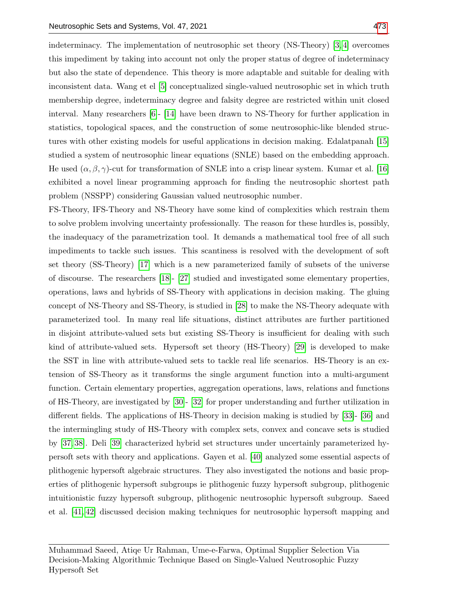indeterminacy. The implementation of neutrosophic set theory (NS-Theory) [\[3,](#page-16-2) [4\]](#page-16-3) overcomes this impediment by taking into account not only the proper status of degree of indeterminacy but also the state of dependence. This theory is more adaptable and suitable for dealing with inconsistent data. Wang et el [\[5\]](#page-16-4) conceptualized single-valued neutrosophic set in which truth membership degree, indeterminacy degree and falsity degree are restricted within unit closed interval. Many researchers [\[6\]](#page-16-5)- [\[14\]](#page-16-6) have been drawn to NS-Theory for further application in statistics, topological spaces, and the construction of some neutrosophic-like blended structures with other existing models for useful applications in decision making. Edalatpanah [\[15\]](#page-16-7) studied a system of neutrosophic linear equations (SNLE) based on the embedding approach. He used  $(\alpha, \beta, \gamma)$ -cut for transformation of SNLE into a crisp linear system. Kumar et al. [\[16\]](#page-17-0) exhibited a novel linear programming approach for finding the neutrosophic shortest path problem (NSSPP) considering Gaussian valued neutrosophic number.

FS-Theory, IFS-Theory and NS-Theory have some kind of complexities which restrain them to solve problem involving uncertainty professionally. The reason for these hurdles is, possibly, the inadequacy of the parametrization tool. It demands a mathematical tool free of all such impediments to tackle such issues. This scantiness is resolved with the development of soft set theory (SS-Theory) [\[17\]](#page-17-1) which is a new parameterized family of subsets of the universe of discourse. The researchers [\[18\]](#page-17-2)- [\[27\]](#page-17-3) studied and investigated some elementary properties, operations, laws and hybrids of SS-Theory with applications in decision making. The gluing concept of NS-Theory and SS-Theory, is studied in [\[28\]](#page-17-4) to make the NS-Theory adequate with parameterized tool. In many real life situations, distinct attributes are further partitioned in disjoint attribute-valued sets but existing SS-Theory is insufficient for dealing with such kind of attribute-valued sets. Hypersoft set theory (HS-Theory) [\[29\]](#page-17-5) is developed to make the SST in line with attribute-valued sets to tackle real life scenarios. HS-Theory is an extension of SS-Theory as it transforms the single argument function into a multi-argument function. Certain elementary properties, aggregation operations, laws, relations and functions of HS-Theory, are investigated by [\[30\]](#page-17-6)- [\[32\]](#page-17-7) for proper understanding and further utilization in different fields. The applications of HS-Theory in decision making is studied by [\[33\]](#page-17-8)- [\[36\]](#page-17-9) and the intermingling study of HS-Theory with complex sets, convex and concave sets is studied by [\[37,](#page-17-10) [38\]](#page-18-1). Deli [\[39\]](#page-18-2) characterized hybrid set structures under uncertainly parameterized hypersoft sets with theory and applications. Gayen et al. [\[40\]](#page-18-3) analyzed some essential aspects of plithogenic hypersoft algebraic structures. They also investigated the notions and basic properties of plithogenic hypersoft subgroups ie plithogenic fuzzy hypersoft subgroup, plithogenic intuitionistic fuzzy hypersoft subgroup, plithogenic neutrosophic hypersoft subgroup. Saeed et al. [\[41,](#page-18-4) [42\]](#page-18-5) discussed decision making techniques for neutrosophic hypersoft mapping and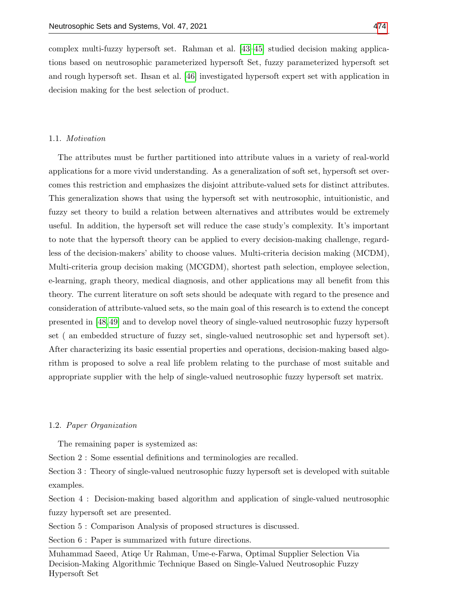complex multi-fuzzy hypersoft set. Rahman et al. [\[43–](#page-18-6)[45\]](#page-18-7) studied decision making applications based on neutrosophic parameterized hypersoft Set, fuzzy parameterized hypersoft set and rough hypersoft set. Ihsan et al. [\[46\]](#page-18-8) investigated hypersoft expert set with application in decision making for the best selection of product.

## 1.1. Motivation

The attributes must be further partitioned into attribute values in a variety of real-world applications for a more vivid understanding. As a generalization of soft set, hypersoft set overcomes this restriction and emphasizes the disjoint attribute-valued sets for distinct attributes. This generalization shows that using the hypersoft set with neutrosophic, intuitionistic, and fuzzy set theory to build a relation between alternatives and attributes would be extremely useful. In addition, the hypersoft set will reduce the case study's complexity. It's important to note that the hypersoft theory can be applied to every decision-making challenge, regardless of the decision-makers' ability to choose values. Multi-criteria decision making (MCDM), Multi-criteria group decision making (MCGDM), shortest path selection, employee selection, e-learning, graph theory, medical diagnosis, and other applications may all benefit from this theory. The current literature on soft sets should be adequate with regard to the presence and consideration of attribute-valued sets, so the main goal of this research is to extend the concept presented in [\[48,](#page-18-9) [49\]](#page-18-10) and to develop novel theory of single-valued neutrosophic fuzzy hypersoft set ( an embedded structure of fuzzy set, single-valued neutrosophic set and hypersoft set). After characterizing its basic essential properties and operations, decision-making based algorithm is proposed to solve a real life problem relating to the purchase of most suitable and appropriate supplier with the help of single-valued neutrosophic fuzzy hypersoft set matrix.

#### 1.2. Paper Organization

The remaining paper is systemized as:

Section 2 : Some essential definitions and terminologies are recalled.

Section 3 : Theory of single-valued neutrosophic fuzzy hypersoft set is developed with suitable examples.

Section 4 : Decision-making based algorithm and application of single-valued neutrosophic fuzzy hypersoft set are presented.

Section 5 : Comparison Analysis of proposed structures is discussed.

Section  $6:$  Paper is summarized with future directions.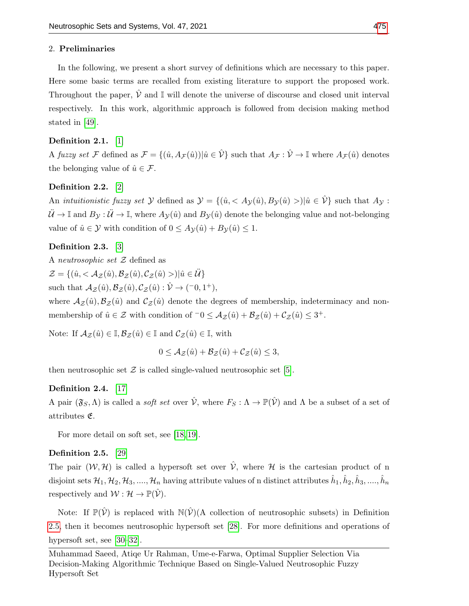### 2. Preliminaries

In the following, we present a short survey of definitions which are necessary to this paper. Here some basic terms are recalled from existing literature to support the proposed work. Throughout the paper,  $\hat{V}$  and  $\mathbb{I}$  will denote the universe of discourse and closed unit interval respectively. In this work, algorithmic approach is followed from decision making method stated in [\[49\]](#page-18-10).

## Definition 2.1. [\[1\]](#page-16-0)

A fuzzy set F defined as  $\mathcal{F} = \{(\hat{u}, A_{\mathcal{F}}(\hat{u})) | \hat{u} \in \hat{\mathcal{V}}\}$  such that  $A_{\mathcal{F}} : \hat{\mathcal{V}} \to \mathbb{I}$  where  $A_{\mathcal{F}}(\hat{u})$  denotes the belonging value of  $\hat{u} \in \mathcal{F}$ .

## Definition 2.2. [\[2\]](#page-16-1)

An *intuitionistic fuzzy set* Y defined as  $\mathcal{Y} = \{(\hat{u}, \langle A_{\mathcal{Y}}(\hat{u}), B_{\mathcal{Y}}(\hat{u}) \rangle | \hat{u} \in \hat{\mathcal{V}}\}$  such that  $A_{\mathcal{Y}}$ :  $\ddot{\mathcal{U}} \to \mathbb{I}$  and  $B_{\mathcal{Y}} : \ddot{\mathcal{U}} \to \mathbb{I}$ , where  $A_{\mathcal{Y}}(\hat{u})$  and  $B_{\mathcal{Y}}(\hat{u})$  denote the belonging value and not-belonging value of  $\hat{u} \in \mathcal{Y}$  with condition of  $0 \leq A_{\mathcal{Y}}(\hat{u}) + B_{\mathcal{Y}}(\hat{u}) \leq 1$ .

## Definition 2.3. [\[3\]](#page-16-2)

A neutrosophic set Z defined as  $\mathcal{Z} = \{(\hat{u}, \langle \mathcal{A}_{\mathcal{Z}}(\hat{u}), \mathcal{B}_{\mathcal{Z}}(\hat{u}), \mathcal{C}_{\mathcal{Z}}(\hat{u})\rangle | \hat{u} \in \ddot{\mathcal{U}}\}\$ such that  $\mathcal{A}_{\mathcal{Z}}(\hat{u}), \mathcal{B}_{\mathcal{Z}}(\hat{u}), \mathcal{C}_{\mathcal{Z}}(\hat{u}) : \hat{\mathcal{V}} \to (-0, 1^+),$ 

where  $A_{\mathcal{Z}}(\hat{u}), \mathcal{B}_{\mathcal{Z}}(\hat{u})$  and  $\mathcal{C}_{\mathcal{Z}}(\hat{u})$  denote the degrees of membership, indeterminacy and nonmembership of  $\hat{u} \in \mathcal{Z}$  with condition of  $\bar{0} \leq \mathcal{A}_{\mathcal{Z}}(\hat{u}) + \mathcal{B}_{\mathcal{Z}}(\hat{u}) + \mathcal{C}_{\mathcal{Z}}(\hat{u}) \leq 3^+$ .

Note: If  $A_{\mathcal{Z}}(\hat{u}) \in \mathbb{I}, \mathcal{B}_{\mathcal{Z}}(\hat{u}) \in \mathbb{I}$  and  $\mathcal{C}_{\mathcal{Z}}(\hat{u}) \in \mathbb{I}$ , with

$$
0 \leq \mathcal{A}_{\mathcal{Z}}(\hat{u}) + \mathcal{B}_{\mathcal{Z}}(\hat{u}) + \mathcal{C}_{\mathcal{Z}}(\hat{u}) \leq 3,
$$

then neutrosophic set  $\mathcal Z$  is called single-valued neutrosophic set [\[5\]](#page-16-4).

## Definition 2.4. [\[17\]](#page-17-1)

A pair  $(\mathfrak{F}_S,\Lambda)$  is called a *soft set* over  $\hat{\mathcal{V}}$ , where  $F_S:\Lambda\to\mathbb{P}(\hat{\mathcal{V}})$  and  $\Lambda$  be a subset of a set of attributes E.

For more detail on soft set, see [\[18,](#page-17-2) [19\]](#page-17-11).

### <span id="page-3-0"></span>Definition 2.5. [\[29\]](#page-17-5)

The pair  $(W, \mathcal{H})$  is called a hypersoft set over  $\hat{V}$ , where  $\mathcal{H}$  is the cartesian product of n disjoint sets  $\mathcal{H}_1,\mathcal{H}_2,\mathcal{H}_3,....,\mathcal{H}_n$  having attribute values of n distinct attributes  $\hat{h}_1,\hat{h}_2,\hat{h}_3,....,\hat{h}_n$ respectively and  $W : \mathcal{H} \to \mathbb{P}(\hat{\mathcal{V}})$ .

Note: If  $\mathbb{P}(\hat{V})$  is replaced with  $\mathbb{N}(\hat{V})$  (A collection of neutrosophic subsets) in Definition [2.5,](#page-3-0) then it becomes neutrosophic hypersoft set [\[28\]](#page-17-4). For more definitions and operations of hypersoft set, see [\[30–](#page-17-6)[32\]](#page-17-7).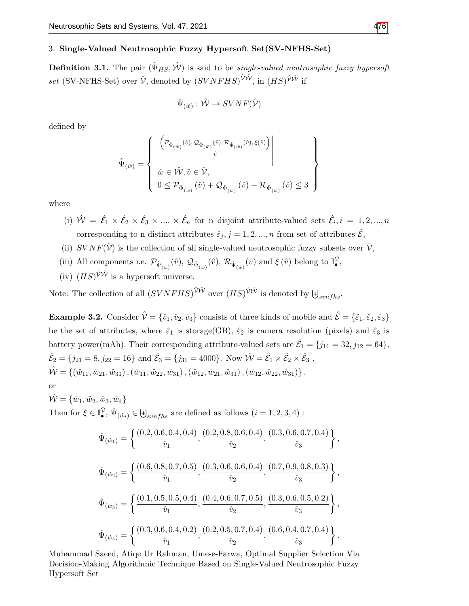## 3. Single-Valued Neutrosophic Fuzzy Hypersoft Set(SV-NFHS-Set)

<span id="page-4-1"></span>**Definition 3.1.** The pair  $(\hat{\Psi}_{HS}, \hat{\mathcal{W}})$  is said to be *single-valued neutrosophic fuzzy hypersoft* set (SV-NFHS-Set) over  $\hat{\mathcal{V}}$ , denoted by  $(SVNFHS)^{\hat{\mathcal{V}}\hat{\mathcal{W}}}$ , in  $(HS)^{\hat{\mathcal{V}}\hat{\mathcal{W}}}$  if

$$
\hat{\Psi}_{(\hat{w})}: \hat{\mathcal{W}} \to SVNF(\hat{\mathcal{V}})
$$

defined by

$$
\hat{\Psi}(\hat{w}) = \left\{ \begin{array}{c} \left( \frac{\left(\mathcal{P}_{\hat{\Psi}_{(\hat{w})}}(\hat{v}), \mathcal{Q}_{\hat{\Psi}_{(\hat{w})}}(\hat{v}), \mathcal{R}_{\hat{\Psi}_{(\hat{w})}}(\hat{v}), \xi(\hat{v})\right)}{\hat{v}} \right| \\ \\ \hat{w} \in \hat{\mathcal{W}}, \hat{v} \in \hat{\mathcal{V}}, \\ 0 \leq \mathcal{P}_{\hat{\Psi}_{(\hat{w})}}(\hat{v}) + \mathcal{Q}_{\hat{\Psi}_{(\hat{w})}}(\hat{v}) + \mathcal{R}_{\hat{\Psi}_{(\hat{w})}}(\hat{v}) \leq 3 \end{array} \right\}
$$

where

(i)  $\hat{W} = \hat{\mathcal{E}}_1 \times \hat{\mathcal{E}}_2 \times \hat{\mathcal{E}}_3 \times \dots \times \hat{\mathcal{E}}_n$  for n disjoint attribute-valued sets  $\hat{\mathcal{E}}_i, i = 1, 2, ..., n$ corresponding to n distinct attributes  $\hat{\varepsilon}_j, j = 1, 2, ..., n$  from set of attributes  $\hat{\mathcal{E}}$ ,

- (ii)  $SVNF(\hat{V})$  is the collection of all single-valued neutrosophic fuzzy subsets over  $\hat{V}$ ,
- (iii) All components i.e.  $\mathcal{P}_{\hat{\Psi}_{(\hat{w})}}(\hat{v}), \mathcal{Q}_{\hat{\Psi}_{(\hat{w})}}(\hat{v}), \mathcal{R}_{\hat{\Psi}_{(\hat{w})}}(\hat{v})$  and  $\xi(\hat{v})$  belong to  $\mathbb{I}^{\hat{\mathcal{V}}}_{\bullet}$ ,
- (iv)  $(HS)^{\hat{\mathcal{V}}\hat{\mathcal{W}}}$  is a hypersoft universe.

Note: The collection of all  $(SVNFHS)^{\hat{\mathcal{V}}\hat{\mathcal{W}}}$  over  $(HS)^{\hat{\mathcal{V}}\hat{\mathcal{W}}}$  is denoted by  $\biguplus_{synfhs}$ .

<span id="page-4-0"></span>**Example 3.2.** Consider  $\hat{\mathcal{V}} = \{\hat{v}_1, \hat{v}_2, \hat{v}_3\}$  consists of three kinds of mobile and  $\hat{\mathcal{E}} = \{\hat{\varepsilon}_1, \hat{\varepsilon}_2, \hat{\varepsilon}_3\}$ be the set of attributes, where  $\hat{\varepsilon}_1$  is storage(GB),  $\hat{\varepsilon}_2$  is camera resolution (pixels) and  $\hat{\varepsilon}_3$  is battery power(mAh). Their corresponding attribute-valued sets are  $\hat{\mathcal{E}}_1 = \{j_{11} = 32, j_{12} = 64\},\$  $\hat{\mathcal{E}}_2 = \{j_{21} = 8, j_{22} = 16\}$  and  $\hat{\mathcal{E}}_3 = \{j_{31} = 4000\}$ . Now  $\hat{\mathcal{W}} = \hat{\mathcal{E}}_1 \times \hat{\mathcal{E}}_2 \times \hat{\mathcal{E}}_3$ ,  $\hat{\mathcal{W}} = \{(\hat{w}_{11}, \hat{w}_{21}, \hat{w}_{31}), (\hat{w}_{11}, \hat{w}_{22}, \hat{w}_{31}), (\hat{w}_{12}, \hat{w}_{21}, \hat{w}_{31}), (\hat{w}_{12}, \hat{w}_{22}, \hat{w}_{31})\}.$ or  $\hat{\mathcal{W}} = {\hat{w}_1, \hat{w}_2, \hat{w}_3, \hat{w}_4}$ Then for  $\xi \in \mathbb{I}_{\bullet}^{\hat{\mathcal{V}}}, \hat{\Psi}_{(\hat{w}_i)} \in \biguplus_{synfhs}$  are defined as follows  $(i = 1, 2, 3, 4)$ :  $\hat{\Psi}_{(\hat{w}_1)} = \begin{cases} \frac{(0.2, 0.6, 0.4, 0.4)}{0.5} \end{cases}$  $\frac{\delta, 0.4, 0.4)}{\hat{v}_1}, \frac{(0.2, 0.8, 0.6, 0.4)}{\hat{v}_2}$  $\frac{\delta_3,0.6,0.4)}{\hat{v}_2},\frac{(0.3,0.6,0.7,0.4)}{\hat{v}_3}$  $\hat{v}_3$  $\big\}$ ,  $\hat{\Psi}_{(\hat{w}_2)} = \begin{cases} \frac{(0.6, 0.8, 0.7, 0.5)}{\hat{w}_1} \end{cases}$  $\frac{\delta_3,0.7,0.5)}{\hat{v}_1},\frac{(0.3,0.6,0.6,0.4)}{\hat{v}_2}$  $\frac{\delta, 0.6, 0.4)}{\hat{v}_2}, \frac{(0.7, 0.9, 0.8, 0.3)}{\hat{v}_3}$  $\hat{v}_3$  $\left.\right\}$ ,  $\hat{\Psi}_{(\hat{w}_3)} = \begin{cases} \frac{(0.1, 0.5, 0.5, 0.4)}{0.5} \end{cases}$  $\overline{\hat{v}}_1^{(0.5,0.4)},\frac{(0.4,0.6,0.7,0.5)}{\hat{v}_2}$  $\frac{\delta, 0.7, 0.5)}{\hat{v}_2}, \frac{(0.3, 0.6, 0.5, 0.2)}{\hat{v}_3}$  $\hat{v}_3$  $\big\}$ ,

$$
\hat{\Psi}_{(\hat{w}_4)} = \left\{ \frac{(0.3, 0.6, 0.4, 0.2)}{\hat{v}_1}, \frac{(0.2, 0.5, 0.7, 0.4)}{\hat{v}_2}, \frac{(0.6, 0.4, 0.7, 0.4)}{\hat{v}_3} \right\}.
$$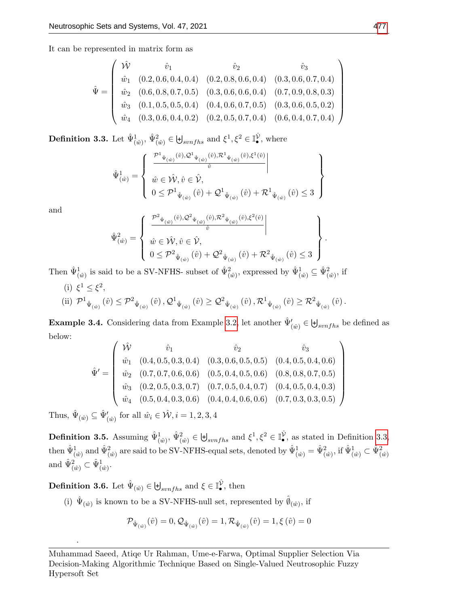It can be represented in matrix form as

$$
\hat{\Psi} = \begin{pmatrix}\n\hat{\mathcal{W}} & \hat{v}_1 & \hat{v}_2 & \hat{v}_3 \\
\hat{w}_1 & (0.2, 0.6, 0.4, 0.4) & (0.2, 0.8, 0.6, 0.4) & (0.3, 0.6, 0.7, 0.4) \\
\hat{w}_2 & (0.6, 0.8, 0.7, 0.5) & (0.3, 0.6, 0.6, 0.4) & (0.7, 0.9, 0.8, 0.3) \\
\hat{w}_3 & (0.1, 0.5, 0.5, 0.4) & (0.4, 0.6, 0.7, 0.5) & (0.3, 0.6, 0.5, 0.2) \\
\hat{w}_4 & (0.3, 0.6, 0.4, 0.2) & (0.2, 0.5, 0.7, 0.4) & (0.6, 0.4, 0.7, 0.4)\n\end{pmatrix}
$$

<span id="page-5-0"></span>**Definition 3.3.** Let  $\hat{\Psi}_{(\hat{w})}^1$ ,  $\hat{\Psi}_{(\hat{w})}^2 \in \biguplus_{synfhs}$  and  $\xi^1, \xi^2 \in \mathbb{I}_{\bullet}^{\hat{\mathcal{V}}}$ , where

$$
\hat{\Psi}^{1}_{(\hat{w})} = \left\{ \begin{array}{c} \frac{\mathcal{P}^{1}_{\ \hat{\Psi}_{(\hat{w})}}(\hat{v}),\mathcal{Q}^{1}_{\ \hat{\Psi}_{(\hat{w})}}(\hat{v}),\mathcal{R}^{1}_{\ \hat{\Psi}_{(\hat{w})}}(\hat{v}),\xi^{1}(\hat{v})}{\hat{v}} \\ \\ \hat{w} \in \hat{\mathcal{W}},\hat{v} \in \hat{\mathcal{V}}, \\ 0 \leq \mathcal{P}^{1}_{\ \hat{\Psi}_{(\hat{w})}}(\hat{v}) + \mathcal{Q}^{1}_{\ \hat{\Psi}_{(\hat{w})}}(\hat{v}) + \mathcal{R}^{1}_{\ \hat{\Psi}_{(\hat{w})}}(\hat{v}) \leq 3 \end{array} \right\}
$$

and

$$
\hat{\Psi}^2_{(\hat{w})} = \left\{ \begin{array}{c} \frac{\mathcal{P}^2_{\hat{\Psi}_{(\hat{w})}(\hat{v}),\mathcal{Q}^2_{\hat{\Psi}_{(\hat{w})}(\hat{v}),\mathcal{R}^2_{\hat{\Psi}_{(\hat{w})}(\hat{v}),\xi^2(\hat{v})}}{\hat{v}} \Big| \\ \\ \hat{w} \in \hat{\mathcal{W}},\hat{v} \in \hat{\mathcal{V}}, \\ 0 \leq \mathcal{P}^2_{\hat{\Psi}_{(\hat{w})}}(\hat{v}) + \mathcal{Q}^2_{\hat{\Psi}_{(\hat{w})}}(\hat{v}) + \mathcal{R}^2_{\hat{\Psi}_{(\hat{w})}}(\hat{v}) \leq 3 \end{array} \right\}.
$$

Then  $\hat{\Psi}_{(\hat{w})}^1$  is said to be a SV-NFHS- subset of  $\hat{\Psi}_{(\hat{w})}^2$ , expressed by  $\hat{\Psi}_{(\hat{w})}^1 \subseteq \hat{\Psi}_{(\hat{w})}^2$ , if

(i)  $\xi^1 \leq \xi^2$ , (ii)  $\mathcal{P}^1_{\hat{\Psi}_{(\hat{w})}}(\hat{v}) \leq \mathcal{P}^2_{\hat{\Psi}_{(\hat{w})}}(\hat{v})$ ,  $\mathcal{Q}^1_{\hat{\Psi}_{(\hat{w})}}(\hat{v}) \geq \mathcal{Q}^2_{\hat{\Psi}_{(\hat{w})}}(\hat{v})$ ,  $\mathcal{R}^1_{\hat{\Psi}_{(\hat{w})}}(\hat{v}) \geq \mathcal{R}^2_{\hat{\Psi}_{(\hat{w})}}(\hat{v})$ .

<span id="page-5-1"></span>**Example 3.4.** Considering data from Example [3.2,](#page-4-0) let another  $\hat{\Psi}'_{(\hat{w})} \in \biguplus_{synfhs}$  be defined as below:

$$
\hat{\Psi}' = \begin{pmatrix}\n\hat{\mathcal{W}} & \hat{v}_1 & \hat{v}_2 & \hat{v}_3 \\
\hat{w}_1 & (0.4, 0.5, 0.3, 0.4) & (0.3, 0.6, 0.5, 0.5) & (0.4, 0.5, 0.4, 0.6) \\
\hat{w}_2 & (0.7, 0.7, 0.6, 0.6) & (0.5, 0.4, 0.5, 0.6) & (0.8, 0.8, 0.7, 0.5) \\
\hat{w}_3 & (0.2, 0.5, 0.3, 0.7) & (0.7, 0.5, 0.4, 0.7) & (0.4, 0.5, 0.4, 0.3) \\
\hat{w}_4 & (0.5, 0.4, 0.3, 0.6) & (0.4, 0.4, 0.6, 0.6) & (0.7, 0.3, 0.3, 0.5)\n\end{pmatrix}
$$

Thus,  $\hat{\Psi}_{(\hat{w})} \subseteq \hat{\Psi}'_{(\hat{w})}$  for all  $\hat{w}_i \in \hat{\mathcal{W}}, i = 1, 2, 3, 4$ 

**Definition 3.5.** Assuming  $\hat{\Psi}^1_{(\hat{w})}, \hat{\Psi}^2_{(\hat{w})} \in \biguplus_{synfhs}$  and  $\xi^1, \xi^2 \in \mathbb{I}_{\bullet}^{\hat{\mathcal{V}}},$  as stated in Definition [3.3,](#page-5-0)  $\hat{\Psi}^1_{(\hat{w})}$  and  $\hat{\Psi}^2_{(\hat{w})}$  are said to be SV-NFHS-equal sets, denoted by  $\hat{\Psi}^1_{(\hat{w})} = \hat{\Psi}^2_{(\hat{w})}$ , if  $\hat{\Psi}^1_{(\hat{w})} \subset \hat{\Psi}^2_{(\hat{w})}$ and  $\hat{\Psi}^2_{(\hat{w})} \subset \hat{\Psi}^1_{(\hat{w})}$ .

<span id="page-5-2"></span>**Definition 3.6.** Let  $\hat{\Psi}_{(\hat{w})} \in \biguplus_{synfhs}$  and  $\xi \in \mathbb{I}_{\bullet}^{\hat{V}}$ , then

.

(i)  $\hat{\Psi}_{(\hat{w})}$  is known to be a SV-NFHS-null set, represented by  $\hat{\theta}_{(\hat{w})}$ , if

$$
\mathcal{P}_{\hat{\Psi}_{\left(\hat{w}\right)}}(\hat{v})=0,\mathcal{Q}_{\hat{\Psi}_{\left(\hat{w}\right)}}(\hat{v})=1,\mathcal{R}_{\hat{\Psi}_{\left(\hat{w}\right)}}(\hat{v})=1,\xi\left(\hat{v}\right)=0
$$

Muhammad Saeed, Atiqe Ur Rahman, Ume-e-Farwa, Optimal Supplier Selection Via Decision-Making Algorithmic Technique Based on Single-Valued Neutrosophic Fuzzy Hypersoft Set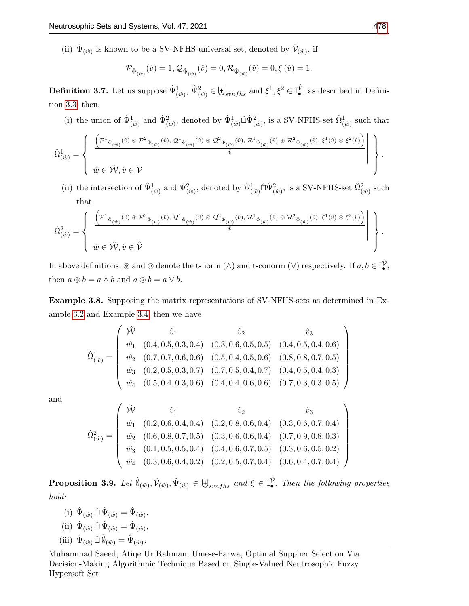(ii)  $\hat{\Psi}_{(\hat{w})}$  is known to be a SV-NFHS-universal set, denoted by  $\hat{\mathcal{V}}_{(\hat{w})}$ , if

$$
\mathcal{P}_{\hat{\Psi}_{(\hat{w})}}(\hat{v})=1, \mathcal{Q}_{\hat{\Psi}_{(\hat{w})}}(\hat{v})=0, \mathcal{R}_{\hat{\Psi}_{(\hat{w})}}(\hat{v})=0, \xi\left(\hat{v}\right)=1.
$$

<span id="page-6-0"></span>**Definition 3.7.** Let us suppose  $\hat{\Psi}_{(\hat{w})}^1$ ,  $\hat{\Psi}_{(\hat{w})}^2 \in \biguplus_{synfhs}$  and  $\xi^1, \xi^2 \in \mathbb{I}_{\bullet}^{\hat{\mathcal{V}}}$ , as described in Definition [3.3,](#page-5-0) then,

(i) the union of  $\hat{\Psi}_{(\hat{w})}^1$  and  $\hat{\Psi}_{(\hat{w})}^2$ , denoted by  $\hat{\Psi}_{(\hat{w})}^1 \hat{\Psi}_{(\hat{w})}^2$ , is a SV-NFHS-set  $\hat{\Omega}_{(\hat{w})}^1$  such that

$$
\hat{\Omega}^1_{(\hat{w})} = \left\{\begin{array}{c} \left.\left(\mathcal{P}^1_{\ \hat{\Psi}_{(\hat{w})}}(\hat{v})\circ\mathcal{P}^2_{\ \hat{\Psi}_{(\hat{w})}}(\hat{v}),\mathcal{Q}^1_{\ \hat{\Psi}_{(\hat{w})}}(\hat{v})\circ\mathcal{Q}^2_{\ \hat{\Psi}_{(\hat{w})}}(\hat{v}),\mathcal{R}^1_{\ \hat{\Psi}_{(\hat{w})}}(\hat{v})\circ\mathcal{R}^2_{\ \hat{\Psi}_{(\hat{w})}}(\hat{v}),\xi^1(\hat{v})\circ\xi^2(\hat{v})\right)\\ \\ \hat{w} \in \hat{\mathcal{W}},\hat{v} \in \hat{\mathcal{V}} \end{array}\right\}.
$$

(ii) the intersection of  $\hat{\Psi}^1_{(\hat{w})}$  and  $\hat{\Psi}^2_{(\hat{w})}$ , denoted by  $\hat{\Psi}^1_{(\hat{w})} \cap \hat{\Psi}^2_{(\hat{w})}$ , is a SV-NFHS-set  $\hat{\Omega}^2_{(\hat{w})}$  such that

$$
\hat{\Omega}_{(\hat{w})}^2 = \left\{\begin{array}{c} \left.\left(\mathcal{P}^1_{\ \hat{\Psi}_{(\hat{w})}(\hat{v})\ \circledast\ \mathcal{P}^2_{\ \hat{\Psi}_{(\hat{w})}(\hat{v}),\ \mathcal{Q}^1_{\ \hat{\Psi}_{(\hat{w})}}(\hat{v})\ \circledast\ \mathcal{Q}^2_{\ \hat{\Psi}_{(\hat{w})}(\hat{v}),\ \mathcal{R}^1_{\ \hat{\Psi}_{(\hat{w})}}(\hat{v})\ \circledast\ \mathcal{R}^2_{\ \hat{\Psi}_{(\hat{w})}(\hat{v}),\ \xi^1(\hat{v})\ \circledast\ \xi^2(\hat{v})\right)} \\ \hat{w} \in \hat{\mathcal{W}}, \hat{v} \in \hat{\mathcal{V}} \end{array}\right\}.
$$

In above definitions,  $\circledast$  and  $\circledcirc$  denote the t-norm  $(\wedge)$  and t-conorm  $(\vee)$  respectively. If  $a, b \in \mathbb{I}_{\bullet}^{\hat{V}},$ then  $a \circledast b = a \wedge b$  and  $a \circledcirc b = a \vee b$ .

Example 3.8. Supposing the matrix representations of SV-NFHS-sets as determined in Example [3.2](#page-4-0) and Example [3.4,](#page-5-1) then we have

$$
\hat{\Omega}^{1}_{(\hat{w})} = \begin{pmatrix}\n\hat{W} & \hat{v}_{1} & \hat{v}_{2} & \hat{v}_{3} \\
\hat{w}_{1} & (0.4, 0.5, 0.3, 0.4) & (0.3, 0.6, 0.5, 0.5) & (0.4, 0.5, 0.4, 0.6) \\
\hat{w}_{2} & (0.7, 0.7, 0.6, 0.6) & (0.5, 0.4, 0.5, 0.6) & (0.8, 0.8, 0.7, 0.5) \\
\hat{w}_{3} & (0.2, 0.5, 0.3, 0.7) & (0.7, 0.5, 0.4, 0.7) & (0.4, 0.5, 0.4, 0.3) \\
\hat{w}_{4} & (0.5, 0.4, 0.3, 0.6) & (0.4, 0.4, 0.6, 0.6) & (0.7, 0.3, 0.3, 0.5)\n\end{pmatrix}
$$

and

$$
\hat{\Omega}_{(\hat{w})}^2 = \begin{pmatrix}\n\hat{W} & \hat{v}_1 & \hat{v}_2 & \hat{v}_3 \\
\hat{w}_1 & (0.2, 0.6, 0.4, 0.4) & (0.2, 0.8, 0.6, 0.4) & (0.3, 0.6, 0.7, 0.4) \\
\hat{w}_2 & (0.6, 0.8, 0.7, 0.5) & (0.3, 0.6, 0.6, 0.4) & (0.7, 0.9, 0.8, 0.3) \\
\hat{w}_3 & (0.1, 0.5, 0.5, 0.4) & (0.4, 0.6, 0.7, 0.5) & (0.3, 0.6, 0.5, 0.2) \\
\hat{w}_4 & (0.3, 0.6, 0.4, 0.2) & (0.2, 0.5, 0.7, 0.4) & (0.6, 0.4, 0.7, 0.4)\n\end{pmatrix}
$$

**Proposition 3.9.** Let  $\hat{\theta}_{(\hat{w})}, \hat{\mathcal{V}}_{(\hat{w})}, \hat{\Psi}_{(\hat{w})} \in \biguplus_{synfhs} \text{ and } \xi \in \mathbb{I}^{\hat{\mathcal{V}}}_{\bullet}$ . Then the following properties hold:

(i)  $\hat{\Psi}_{(\hat{w})} \hat{\perp} \hat{\Psi}_{(\hat{w})} = \hat{\Psi}_{(\hat{w})},$ (ii)  $\hat{\Psi}_{(\hat{w})} \cap \hat{\Psi}_{(\hat{w})} = \hat{\Psi}_{(\hat{w})},$ (iii)  $\hat{\Psi}_{(\hat{w})} \hat{\Box} \hat{\emptyset}_{(\hat{w})} = \hat{\Psi}_{(\hat{w})},$ 

 $\setminus$ 

 $\begin{array}{c} \hline \end{array}$ 

Muhammad Saeed, Atiqe Ur Rahman, Ume-e-Farwa, Optimal Supplier Selection Via Decision-Making Algorithmic Technique Based on Single-Valued Neutrosophic Fuzzy Hypersoft Set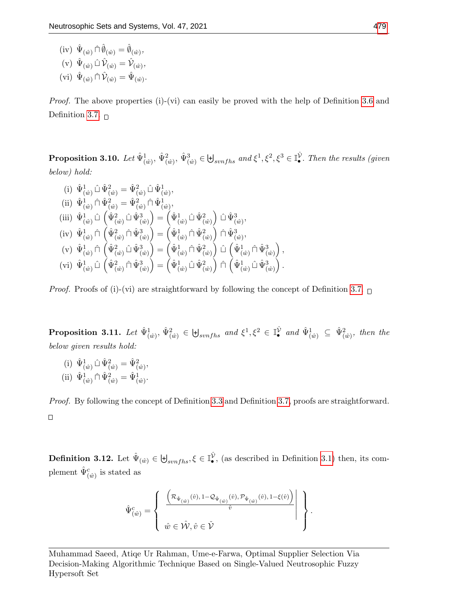$(iv) \hat{\Psi}_{(\hat{w})} \hat{\Pi} \hat{\emptyset}_{(\hat{w})} = \hat{\emptyset}_{(\hat{w})},$ (v)  $\hat{\Psi}_{(\hat{w})} \hat{\Box} \hat{\mathcal{V}}_{(\hat{w})} = \hat{\mathcal{V}}_{(\hat{w})},$ (vi)  $\hat{\Psi}_{(\hat{w})} \cap \hat{\mathcal{V}}_{(\hat{w})} = \hat{\Psi}_{(\hat{w})}$ .

*Proof.* The above properties (i)-(vi) can easily be proved with the help of Definition [3.6](#page-5-2) and Definition [3.7.](#page-6-0)  $\Box$ 

**Proposition 3.10.** Let  $\hat{\Psi}^1_{(\hat{w})}, \hat{\Psi}^2_{(\hat{w})}, \hat{\Psi}^3_{(\hat{w})} \in \biguplus_{synfhs} \text{ and } \xi^1, \xi^2, \xi^3 \in \mathbb{I}_\bullet^\hat{\mathcal{V}}$ . Then the results (given below) hold:

(i)  $\hat{\Psi}_{(\hat{w})}^1 \hat{\Psi}_{(\hat{w})}^2 = \hat{\Psi}_{(\hat{w})}^2 \hat{\mathbb{U}} \hat{\Psi}_{(\hat{w})}^1$ (ii)  $\hat{\Psi}_{(\hat{w})}^1 \cap \hat{\Psi}_{(\hat{w})}^2 = \hat{\Psi}_{(\hat{w})}^2 \cap \hat{\Psi}_{(\hat{w})}^1$ , (iii)  $\hat{\Psi}^1_{(\hat{w})} \hat{\Box} (\hat{\Psi}^2_{(\hat{w})} \hat{\Box} \hat{\Psi}^3_{(\hat{w})}) = (\hat{\Psi}^1_{(\hat{w})} \hat{\Box} \hat{\Psi}^2_{(\hat{w})}) \hat{\Box} \hat{\Psi}^3_{(\hat{w})},$  $(iv) \hat{\Psi}^1_{(\hat{w})} \cap (\hat{\Psi}^2_{(\hat{w})} \cap \hat{\Psi}^3_{(\hat{w})}) = (\hat{\Psi}^1_{(\hat{w})} \cap \hat{\Psi}^2_{(\hat{w})}) \cap \hat{\Psi}^3_{(\hat{w})},$  $({\rm v})\,\,\hat{\Psi}_{(\hat{w})}^1\, \hat{\Box}\, \bigl(\hat{\Psi}_{(\hat{w})}^2\, \hat{\Box}\, \bigl(\hat{\Psi}_{(\hat{w})}^1\, \hat{\Box}\, \bigl(\hat{\Psi}_{(\hat{w})}^2\, \hat{\Box}\, \bigl(\hat{\Psi}_{(\hat{w})}^1\, \hat{\Box}\, \bigl(\hat{\Psi}_{(\hat{w})}^3\, \bigr)\, \bigr)\,,$  $({\rm vi})\;\hat{\Psi}_{(\hat{w})}^{1}\hat{\Box}\; \left(\hat{\Psi}_{(\hat{w})}^{2}\cap \hat{\Psi}_{(\hat{w})}^{3}\right)=\left(\hat{\Psi}_{(\hat{w})}^{1}\hat{\Box}\; \hat{\Psi}_{(\hat{w})}^{2}\right)\;\hat{\Box}\; \left(\hat{\Psi}_{(\hat{w})}^{1}\hat{\Box}\; \hat{\Psi}_{(\hat{w})}^{3}\right).$ 

*Proof.* Proofs of (i)-(vi) are straightforward by following the concept of Definition [3.7.](#page-6-0)  $\Box$ 

**Proposition 3.11.** Let  $\hat{\Psi}_{(\hat{w})}^1$ ,  $\hat{\Psi}_{(\hat{w})}^2 \in \biguplus_{synfhs}$  and  $\xi^1$ ,  $\xi^2 \in \mathbb{I}^{\hat{\mathcal{V}}}_{\bullet}$  and  $\hat{\Psi}_{(\hat{w})}^1 \subseteq \hat{\Psi}_{(\hat{w})}^2$ , then the below given results hold:

(i)  $\hat{\Psi}_{(\hat{w})}^1 \hat{\Psi}_{(\hat{w})}^2 = \hat{\Psi}_{(\hat{w})}^2$ (ii)  $\hat{\Psi}_{(\hat{w})}^1 \cap \hat{\Psi}_{(\hat{w})}^2 = \hat{\Psi}_{(\hat{w})}^1$ .

Proof. By following the concept of Definition [3.3](#page-5-0) and Definition [3.7,](#page-6-0) proofs are straightforward.  $\Box$ 

<span id="page-7-0"></span>**Definition 3.12.** Let  $\hat{\Psi}_{(\hat{w})} \in \biguplus_{synfhs}, \xi \in \mathbb{I}_{\bullet}^{\hat{\mathcal{V}}},$  (as described in Definition [3.1\)](#page-4-1) then, its complement  $\hat{\Psi}^c_{(\hat{w})}$  is stated as

$$
\hat{\Psi}^{c}_{(\hat{w})} = \left\{\begin{array}{c} \left. \frac{\left(\mathcal{R}_{\hat{\Psi}_{(\hat{w})}}(\hat{v}), 1 - \mathcal{Q}_{\hat{\Psi}_{(\hat{w})}}(\hat{v}), \mathcal{P}_{\hat{\Psi}_{(\hat{w})}}(\hat{v}), 1 - \xi(\hat{v})\right)}{\hat{v}} & \\ & \\ \hat{w} \in \hat{\mathcal{W}}, \hat{v} \in \check{\mathcal{V}} \end{array} \right\}.
$$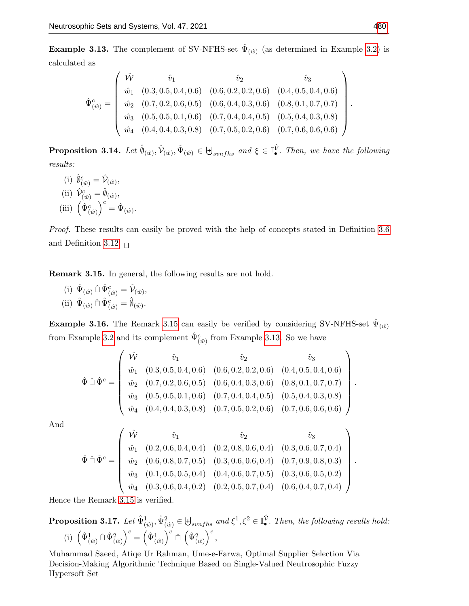<span id="page-8-1"></span>**Example 3.13.** The complement of SV-NFHS-set  $\hat{\Psi}_{(\hat{w})}$  (as determined in Example [3.2\)](#page-4-0) is calculated as

$$
\hat{\Psi}^{c}_{(\hat{w})} = \begin{pmatrix}\n\hat{\mathcal{W}} & \hat{v}_{1} & \hat{v}_{2} & \hat{v}_{3} \\
\hat{w}_{1} & (0.3, 0.5, 0.4, 0.6) & (0.6, 0.2, 0.2, 0.6) & (0.4, 0.5, 0.4, 0.6) \\
\hat{w}_{2} & (0.7, 0.2, 0.6, 0.5) & (0.6, 0.4, 0.3, 0.6) & (0.8, 0.1, 0.7, 0.7) \\
\hat{w}_{3} & (0.5, 0.5, 0.1, 0.6) & (0.7, 0.4, 0.4, 0.5) & (0.5, 0.4, 0.3, 0.8) \\
\hat{w}_{4} & (0.4, 0.4, 0.3, 0.8) & (0.7, 0.5, 0.2, 0.6) & (0.7, 0.6, 0.6, 0.6)\n\end{pmatrix}
$$

**Proposition 3.14.** Let  $\hat{\theta}_{(\hat{w})}, \hat{\psi}_{(\hat{w})}, \hat{\Psi}_{(\hat{w})} \in \biguplus_{swnfhs} \text{ and } \xi \in \mathbb{I}_{\bullet}^{\hat{\mathcal{V}}}$ . Then, we have the following results:

(i)  $\hat{\phi}_{(\hat{w})}^c = \hat{\mathcal{V}}_{(\hat{w})},$ (ii)  $\hat{\mathcal{V}}_{(\hat{w})}^c = \hat{\emptyset}_{(\hat{w})},$ (iii)  $\left(\hat{\Psi}_{(\hat{w})}^c\right)^c = \hat{\Psi}_{(\hat{w})}.$ 

Proof. These results can easily be proved with the help of concepts stated in Definition [3.6](#page-5-2) and Definition [3.12.](#page-7-0)  $\Box$ 

<span id="page-8-0"></span>Remark 3.15. In general, the following results are not hold.

(i)  $\hat{\Psi}_{(\hat{w})} \hat{\perp} \hat{\Psi}_{(\hat{w})}^c = \hat{\mathcal{V}}_{(\hat{w})},$ (ii)  $\hat{\Psi}_{(\hat{w})} \cap \hat{\Psi}_{(\hat{w})}^c = \hat{\emptyset}_{(\hat{w})}.$ 

**Example 3.16.** The Remark [3.15](#page-8-0) can easily be verified by considering SV-NFHS-set  $\hat{\Psi}_{(\hat{w})}$ from Example [3.2](#page-4-0) and its complement  $\hat{\Psi}^c_{(\hat{w})}$  from Example [3.13.](#page-8-1) So we have

$$
\hat{\Psi} \ \hat{\mathbb{U}} \ \hat{\Psi}^c = \begin{pmatrix}\n\hat{\mathcal{W}} & \hat{v}_1 & \hat{v}_2 & \hat{v}_3 \\
\hat{w}_1 & (0.3, 0.5, 0.4, 0.6) & (0.6, 0.2, 0.2, 0.6) & (0.4, 0.5, 0.4, 0.6) \\
\hat{w}_2 & (0.7, 0.2, 0.6, 0.5) & (0.6, 0.4, 0.3, 0.6) & (0.8, 0.1, 0.7, 0.7) \\
\hat{w}_3 & (0.5, 0.5, 0.1, 0.6) & (0.7, 0.4, 0.4, 0.5) & (0.5, 0.4, 0.3, 0.8) \\
\hat{w}_4 & (0.4, 0.4, 0.3, 0.8) & (0.7, 0.5, 0.2, 0.6) & (0.7, 0.6, 0.6, 0.6)\n\end{pmatrix}
$$

And

$$
\hat{\Psi} \cap \hat{\Psi}^c = \begin{pmatrix}\n\hat{\mathcal{W}} & \hat{v}_1 & \hat{v}_2 & \hat{v}_3 \\
\hat{w}_1 & (0.2, 0.6, 0.4, 0.4) & (0.2, 0.8, 0.6, 0.4) & (0.3, 0.6, 0.7, 0.4) \\
\hat{w}_2 & (0.6, 0.8, 0.7, 0.5) & (0.3, 0.6, 0.6, 0.4) & (0.7, 0.9, 0.8, 0.3) \\
\hat{w}_3 & (0.1, 0.5, 0.5, 0.4) & (0.4, 0.6, 0.7, 0.5) & (0.3, 0.6, 0.5, 0.2) \\
\hat{w}_4 & (0.3, 0.6, 0.4, 0.2) & (0.2, 0.5, 0.7, 0.4) & (0.6, 0.4, 0.7, 0.4)\n\end{pmatrix}
$$

Hence the Remark [3.15](#page-8-0) is verified.

**Proposition 3.17.** Let  $\hat{\Psi}_{(\hat{w})}^1$ ,  $\hat{\Psi}_{(\hat{w})}^2 \in \mathbb{H}_{symfhs}$  and  $\xi^1$ ,  $\xi^2 \in \mathbb{I}_{\bullet}^{\hat{V}}$ . Then, the following results hold: (i)  $\left(\hat{\Psi}_{(\hat{w})}^1 \hat{\mathbb{U}}_{(\hat{w})}^2\right)^c = \left(\hat{\Psi}_{(\hat{w})}^1\right)^c \hat{\sqcap} \left(\hat{\Psi}_{(\hat{w})}^2\right)^c$ ,

Muhammad Saeed, Atiqe Ur Rahman, Ume-e-Farwa, Optimal Supplier Selection Via Decision-Making Algorithmic Technique Based on Single-Valued Neutrosophic Fuzzy Hypersoft Set

.

.

.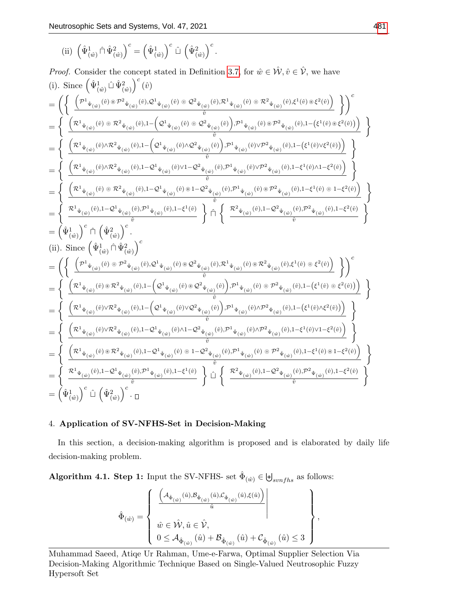(ii) 
$$
\left(\hat{\Psi}^1_{(\hat{w})} \cap \hat{\Psi}^2_{(\hat{w})}\right)^c = \left(\hat{\Psi}^1_{(\hat{w})}\right)^c \hat{\sqcup} \left(\hat{\Psi}^2_{(\hat{w})}\right)^c.
$$

Proof. Consider the concept stated in Definition 3.7, for 
$$
\hat{w} \in \hat{\mathcal{W}}, \hat{v} \in \hat{\mathcal{V}},
$$
 we have  
\n(i). Since 
$$
\left(\hat{\Psi}^1_{(\hat{w})} \hat{\mathbb{U}} \hat{\Psi}^2_{(\hat{w})} \hat{v}^2_{(\hat{w})} (\hat{v})
$$
\n
$$
= \left\{ \left( \frac{\left( \mathcal{P}^1_{\hat{\Psi}(\hat{w})} (\hat{v}) \otimes \mathcal{P}^2_{\hat{\Psi}(\hat{w})} (\hat{v}). \mathcal{Q}^1_{\hat{\Psi}(\hat{w})} (\hat{v}) \otimes \mathcal{Q}^2_{\hat{\Psi}(\hat{w})} (\hat{v}). \mathcal{P}^1_{\hat{\Psi}(\hat{w})} (\hat{v}) \otimes \mathcal{P}^2_{\hat{\Psi}(\hat{w})} (\hat{v}). \mathcal{Q}^1_{(\hat{w})} (\hat{v}) \otimes \mathcal{Q}^2_{\hat{\Psi}(\hat{w})} (\hat{v}). \mathcal{P}^1_{\hat{\Psi}(\hat{w})} (\hat{v}). \mathcal{P}^2_{\hat{\Psi}(\hat{w})} (\hat{v}). \mathcal{Q}^2_{(\hat{w})} (\hat{v}). \mathcal{Q}^2_{(\hat{w})} (\hat{v}). \mathcal{P}^2_{(\hat{w})} (\hat{v}). \mathcal{P}^2_{(\hat{w})} (\hat{v}). \mathcal{Q}^2_{(\hat{w})} (\hat{v}). \mathcal{Q}^2_{(\hat{w})} (\hat{v}). \mathcal{P}^2_{(\hat{w})} (\hat{v}). \mathcal{P}^2_{(\hat{w})} (\hat{v}). \mathcal{Q}^2_{(\hat{w})} (\hat{v}). \mathcal{P}^2_{(\hat{w})} (\hat{v}). \mathcal{P}^2_{(\hat{w})} (\hat{v}). \mathcal{Q}^2_{(\hat{w})} (\hat{v}). \mathcal{P}^2_{(\hat{w})} (\hat{v}). \mathcal{P}^2_{(\hat{w})} (\hat{v}). \mathcal{Q}^2_{(\hat{w})} (\hat{v}). \mathcal{P}^2_{(\hat{w})} (\hat{v}). \mathcal{P}^2_{(\hat{w})} (\hat{v}). \mathcal{P}^2_{(\hat{w})} (\hat{v}). \mathcal
$$

# 4. Application of SV-NFHS-Set in Decision-Making

In this section, a decision-making algorithm is proposed and is elaborated by daily life decision-making problem.

<span id="page-9-0"></span>Algorithm 4.1. Step 1: Input the SV-NFHS- set  $\hat{\Phi}_{(\hat{w})} \in \biguplus_{synfhs}$  as follows:

$$
\hat{\Phi}_{(\hat{w})} = \left\{\begin{array}{c} \left.\left(\begin{matrix}\mathcal{A}_{\hat{\Phi}_{(\hat{w})}}(\hat{u}), \mathcal{B}_{\hat{\Phi}_{(\hat{w})}}(\hat{u}), \mathcal{C}_{\hat{\Phi}_{(\hat{w})}}(\hat{u}), \xi(\hat{u})\right) \\ \\ \hat{w} \in \hat{\mathcal{W}}, \hat{u} \in \hat{\mathcal{V}}, \end{matrix}\right. \\ \left.\begin{matrix}\hat{w} \in \hat{\mathcal{W}}, \hat{u} \in \hat{\mathcal{V}}, \\ 0 \leq \mathcal{A}_{\hat{\Phi}_{(\hat{w})}}(\hat{u}) + \mathcal{B}_{\hat{\Phi}_{(\hat{w})}}(\hat{u}) + \mathcal{C}_{\hat{\Phi}_{(\hat{w})}}(\hat{u}) \leq 3\end{matrix}\right.\end{array}\right\},
$$

Muhammad Saeed, Atiqe Ur Rahman, Ume-e-Farwa, Optimal Supplier Selection Via Decision-Making Algorithmic Technique Based on Single-Valued Neutrosophic Fuzzy Hypersoft Set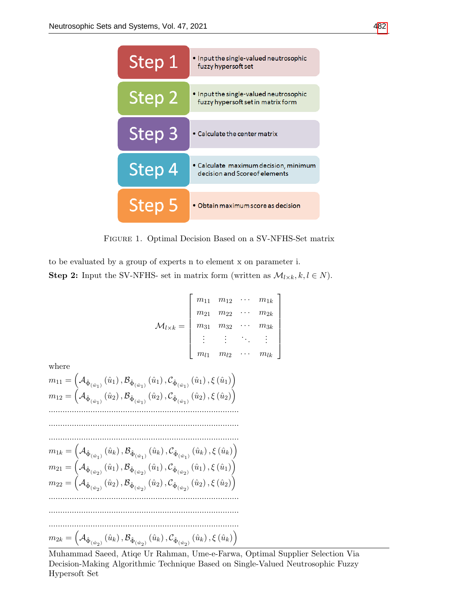

Figure 1. Optimal Decision Based on a SV-NFHS-Set matrix

to be evaluated by a group of experts n to element x on parameter i. **Step 2:** Input the SV-NFHS- set in matrix form (written as  $\mathcal{M}_{l \times k}, k, l \in N$ ).

$$
\mathcal{M}_{l \times k} = \left[ \begin{array}{cccc} m_{11} & m_{12} & \cdots & m_{1k} \\ m_{21} & m_{22} & \cdots & m_{2k} \\ m_{31} & m_{32} & \cdots & m_{3k} \\ \vdots & \vdots & \ddots & \vdots \\ m_{l1} & m_{l2} & \cdots & m_{lk} \end{array} \right]
$$

where

$$
m_{11} = \left(\mathcal{A}_{\hat{\Phi}_{(\hat{w}_1)}}(\hat{u}_1), \mathcal{B}_{\hat{\Phi}_{(\hat{w}_1)}}(\hat{u}_1), \mathcal{C}_{\hat{\Phi}_{(\hat{w}_1)}}(\hat{u}_1), \xi(\hat{u}_1)\right)
$$
  
\n
$$
m_{12} = \left(\mathcal{A}_{\hat{\Phi}_{(\hat{w}_1)}}(\hat{u}_2), \mathcal{B}_{\hat{\Phi}_{(\hat{w}_1)}}(\hat{u}_2), \mathcal{C}_{\hat{\Phi}_{(\hat{w}_1)}}(\hat{u}_2), \xi(\hat{u}_2)\right)
$$
  
\n
$$
\dots
$$
  
\n
$$
m_{1k} = \left(\mathcal{A}_{\hat{\Phi}_{(\hat{w}_1)}}(\hat{u}_k), \mathcal{B}_{\hat{\Phi}_{(\hat{w}_1)}}(\hat{u}_k), \mathcal{C}_{\hat{\Phi}_{(\hat{w}_1)}}(\hat{u}_k), \xi(\hat{u}_k)\right)
$$
  
\n
$$
m_{21} = \left(\mathcal{A}_{\hat{\Phi}_{(\hat{w}_2)}}(\hat{u}_1), \mathcal{B}_{\hat{\Phi}_{(\hat{w}_2)}}(\hat{u}_1), \mathcal{C}_{\hat{\Phi}_{(\hat{w}_2)}}(\hat{u}_1), \xi(\hat{u}_1)\right)
$$
  
\n
$$
m_{22} = \left(\mathcal{A}_{\hat{\Phi}_{(\hat{w}_2)}}(\hat{u}_2), \mathcal{B}_{\hat{\Phi}_{(\hat{w}_2)}}(\hat{u}_2), \mathcal{C}_{\hat{\Phi}_{(\hat{w}_2)}}(\hat{u}_2), \xi(\hat{u}_2)\right)
$$
  
\n
$$
\dots
$$
  
\n
$$
m_{2k} = \left(\mathcal{A}_{\hat{\Phi}_{(\hat{w}_2)}}(\hat{u}_k), \mathcal{B}_{\hat{\Phi}_{(\hat{w}_2)}}(\hat{u}_k), \mathcal{C}_{\hat{\Phi}_{(\hat{w}_2)}}(\hat{u}_k), \xi(\hat{u}_k)\right)
$$

Muhammad Saeed, Atiqe Ur Rahman, Ume-e-Farwa, Optimal Supplier Selection Via Decision-Making Algorithmic Technique Based on Single-Valued Neutrosophic Fuzzy Hypersoft Set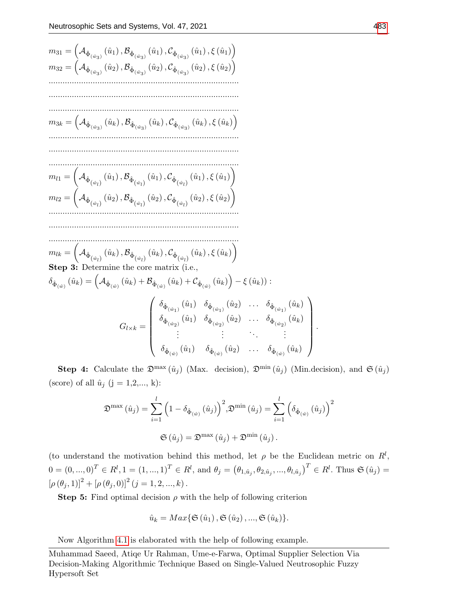$$
m_{31} = (A_{\hat{\Phi}_{(\hat{w}_{3})}}(\hat{u}_{1}), B_{\hat{\Phi}_{(\hat{w}_{3})}}(\hat{u}_{1}), C_{\hat{\Phi}_{(\hat{w}_{3})}}(\hat{u}_{1}), \xi(\hat{u}_{1}))
$$
\n
$$
m_{32} = (A_{\hat{\Phi}_{(\hat{w}_{3})}}(\hat{u}_{2}), B_{\hat{\Phi}_{(\hat{w}_{3})}}(\hat{u}_{2}), C_{\hat{\Phi}(\hat{w}_{3})}(\hat{u}_{2}), \xi(\hat{u}_{2}))
$$
\n
$$
\dots
$$
\n
$$
m_{3k} = (A_{\hat{\Phi}_{(\hat{w}_{3})}}(\hat{u}_{k}), B_{\hat{\Phi}_{(\hat{w}_{3})}}(\hat{u}_{k}), C_{\hat{\Phi}_{(\hat{w}_{3})}}(\hat{u}_{k}), \xi(\hat{u}_{k}))
$$
\n
$$
m_{l1} = (A_{\hat{\Phi}_{(\hat{w}_{l})}}(\hat{u}_{1}), B_{\hat{\Phi}_{(\hat{w}_{l})}}(\hat{u}_{1}), C_{\hat{\Phi}_{(\hat{w}_{l})}}(\hat{u}_{1}), \xi(\hat{u}_{1}))
$$
\n
$$
m_{l2} = (A_{\hat{\Phi}_{(\hat{w}_{l})}}(\hat{u}_{2}), B_{\hat{\Phi}_{(\hat{w}_{l})}}(\hat{u}_{2}), C_{\hat{\Phi}_{(\hat{w}_{l})}}(\hat{u}_{2}), \xi(\hat{u}_{2}))
$$
\n
$$
\dots
$$
\n
$$
m_{lk} = (A_{\hat{\Phi}_{(\hat{w}_{l})}}(\hat{u}_{k}), B_{\hat{\Phi}_{(\hat{w}_{l})}}(\hat{u}_{k}), C_{\hat{\Phi}_{(\hat{w}_{l})}}(\hat{u}_{k}), \xi(\hat{u}_{k}))
$$
\n**Step 3:** Determine the core matrix (i.e.,  
\n
$$
\delta_{\hat{\Phi}_{(\hat{w})}}(\hat{u}_{k}) = (A_{\hat{\Phi}_{(\hat{w})}}(\hat{u}_{k}) + B_{\hat{\Phi}_{(\hat{w})}}(\hat{u}_{k}) + C_{\hat{\Phi}_{(\hat{w})}}(\hat{u}_{k})) - \xi(\hat{u}_{k})):
$$
\n
$$
G_{l \times k} = \begin{pmatrix}\n\delta_{\hat{\Phi}_{(\hat{w}_{1})}}(\hat{u}_{1}) & \delta_{\hat{\Phi}_{(\hat{w}_{1})}}(\hat{u}_{2})
$$

Step 4: Calculate the  $\mathfrak{D}^{\max}(\hat{u}_j)$  (Max. decision),  $\mathfrak{D}^{\min}(\hat{u}_j)$  (Min.decision), and  $\mathfrak{S}(\hat{u}_j)$ (score) of all  $\hat{u}_j$  (j = 1,2,..., k):

$$
\mathfrak{D}^{\max}(\hat{u}_j) = \sum_{i=1}^l \left(1 - \delta_{\hat{\Phi}_{(\hat{w})}}(\hat{u}_j)\right)^2, \mathfrak{D}^{\min}(\hat{u}_j) = \sum_{i=1}^l \left(\delta_{\hat{\Phi}_{(\hat{w})}}(\hat{u}_j)\right)^2
$$
  

$$
\mathfrak{S}(\hat{u}_j) = \mathfrak{D}^{\max}(\hat{u}_j) + \mathfrak{D}^{\min}(\hat{u}_j).
$$

(to understand the motivation behind this method, let  $\rho$  be the Euclidean metric on  $R^l$ ,  $0 = (0, ..., 0)^T \in R^l, 1 = (1, ..., 1)^T \in R^l$ , and  $\theta_j = (\theta_{1, \hat{u}_j}, \theta_{2, \hat{u}_j}, ..., \theta_{l, \hat{u}_j})^T \in R^l$ . Thus  $\mathfrak{S}(\hat{u}_j) =$  $[\rho (\theta_j, 1)]^2 + [\rho (\theta_j, 0)]^2 (j = 1, 2, ..., k).$ 

**Step 5:** Find optimal decision  $\rho$  with the help of following criterion

$$
\hat{u}_k = Max\{\mathfrak{S}\left(\hat{u}_1\right), \mathfrak{S}\left(\hat{u}_2\right), ..., \mathfrak{S}\left(\hat{u}_k\right)\}.
$$

Now Algorithm [4.1](#page-9-0) is elaborated with the help of following example.

Muhammad Saeed, Atiqe Ur Rahman, Ume-e-Farwa, Optimal Supplier Selection Via Decision-Making Algorithmic Technique Based on Single-Valued Neutrosophic Fuzzy Hypersoft Set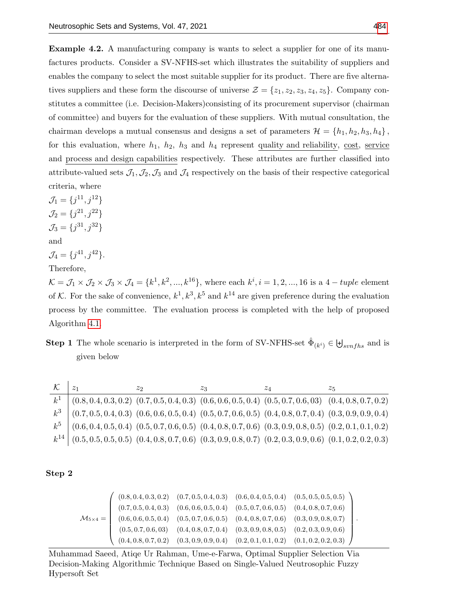Example 4.2. A manufacturing company is wants to select a supplier for one of its manufactures products. Consider a SV-NFHS-set which illustrates the suitability of suppliers and enables the company to select the most suitable supplier for its product. There are five alternatives suppliers and these form the discourse of universe  $\mathcal{Z} = \{z_1, z_2, z_3, z_4, z_5\}$ . Company constitutes a committee (i.e. Decision-Makers)consisting of its procurement supervisor (chairman of committee) and buyers for the evaluation of these suppliers. With mutual consultation, the chairman develops a mutual consensus and designs a set of parameters  $\mathcal{H} = \{h_1, h_2, h_3, h_4\}$ , for this evaluation, where  $h_1$ ,  $h_2$ ,  $h_3$  and  $h_4$  represent quality and reliability, cost, service and process and design capabilities respectively. These attributes are further classified into attribute-valued sets  $\mathcal{J}_1, \mathcal{J}_2, \mathcal{J}_3$  and  $\mathcal{J}_4$  respectively on the basis of their respective categorical criteria, where

 $\mathcal{J}_1 = \{j^{11}, j^{12}\}\$  $\mathcal{J}_2 = \{j^{21}, j^{22}\}\$  $\mathcal{J}_3 = \{j^{31}, j^{32}\}\$ and  $\mathcal{J}_4 = \{j^{41}, j^{42}\}.$ 

Therefore,

 $\mathcal{K} = \mathcal{J}_1 \times \mathcal{J}_2 \times \mathcal{J}_3 \times \mathcal{J}_4 = \{k^1, k^2, ..., k^{16}\},$  where each  $k^i, i = 1, 2, ..., 16$  is a  $4 - tuple$  element of K. For the sake of convenience,  $k^1, k^3, k^5$  and  $k^{14}$  are given preference during the evaluation process by the committee. The evaluation process is completed with the help of proposed Algorithm [4.1.](#page-9-0)

**Step 1** The whole scenario is interpreted in the form of SV-NFHS-set  $\hat{\Phi}_{(k^i)} \in \biguplus_{synfhs}$  and is given below

|                                                                                                                         | Z9. | ZΔ | 25 |
|-------------------------------------------------------------------------------------------------------------------------|-----|----|----|
| $k^1$ $(0.8, 0.4, 0.3, 0.2)$ $(0.7, 0.5, 0.4, 0.3)$ $(0.6, 0.6, 0.5, 0.4)$ $(0.5, 0.7, 0.6, 03)$ $(0.4, 0.8, 0.7, 0.2)$ |     |    |    |
| $k^3$ (0.7, 0.5, 0.4, 0.3) (0.6, 0.6, 0.5, 0.4) (0.5, 0.7, 0.6, 0.5) (0.4, 0.8, 0.7, 0.4) (0.3, 0.9, 0.9, 0.4)          |     |    |    |
| $k^5$ (0.6, 0.4, 0.5, 0.4) (0.5, 0.7, 0.6, 0.5) (0.4, 0.8, 0.7, 0.6) (0.3, 0.9, 0.8, 0.5) (0.2, 0.1, 0.1, 0.2)          |     |    |    |
| $k^{14}$ (0.5, 0.5, 0.5, 0.5) (0.4, 0.8, 0.7, 0.6) (0.3, 0.9, 0.8, 0.7) (0.2, 0.3, 0.9, 0.6) (0.1, 0.2, 0.2, 0.3)       |     |    |    |

## Step 2

$$
\mathcal{M}_{5\times 4} = \left(\begin{array}{cccccc} (0.8, 0.4, 0.3, 0.2) & (0.7, 0.5, 0.4, 0.3) & (0.6, 0.4, 0.5, 0.4) & (0.5, 0.5, 0.5, 0.5) \\ (0.7, 0.5, 0.4, 0.3) & (0.6, 0.6, 0.5, 0.4) & (0.5, 0.7, 0.6, 0.5) & (0.4, 0.8, 0.7, 0.6) \\ (0.6, 0.6, 0.5, 0.4) & (0.5, 0.7, 0.6, 0.5) & (0.4, 0.8, 0.7, 0.6) & (0.3, 0.9, 0.8, 0.7) \\ (0.5, 0.7, 0.6, 0.3) & (0.4, 0.8, 0.7, 0.4) & (0.3, 0.9, 0.8, 0.5) & (0.2, 0.3, 0.9, 0.6) \\ (0.4, 0.8, 0.7, 0.2) & (0.3, 0.9, 0.9, 0.4) & (0.2, 0.1, 0.1, 0.2) & (0.1, 0.2, 0.2, 0.3) \end{array}\right).
$$

Muhammad Saeed, Atiqe Ur Rahman, Ume-e-Farwa, Optimal Supplier Selection Via Decision-Making Algorithmic Technique Based on Single-Valued Neutrosophic Fuzzy Hypersoft Set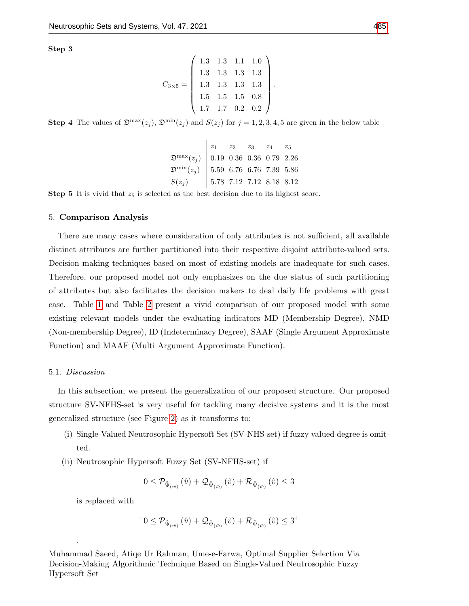Step 3

$$
C_{3\times 5} = \left(\begin{array}{rrrr} 1.3 & 1.3 & 1.1 & 1.0 \\ 1.3 & 1.3 & 1.3 & 1.3 \\ 1.3 & 1.3 & 1.3 & 1.3 \\ 1.5 & 1.5 & 1.5 & 0.8 \\ 1.7 & 1.7 & 0.2 & 0.2 \end{array}\right).
$$

**Step 4** The values of  $\mathfrak{D}^{\max}(z_j)$ ,  $\mathfrak{D}^{\min}(z_j)$  and  $S(z_j)$  for  $j = 1, 2, 3, 4, 5$  are given in the below table

| $\begin{array}{c cccc} & z_1 & z_2 & z_3 & z_4 & z_5 \ \hline \mathfrak{D}^{\rm max}(z_j) & 0.19 & 0.36 & 0.36 & 0.79 & 2.26 \ \mathfrak{D}^{\rm min}(z_j) & 5.59 & 6.76 & 6.76 & 7.39 & 5.86 \ S(z_j) & 5.78 & 7.12 & 7.12 & 8.18 & 8.12 \ \end{array}$ |  |  |  |
|----------------------------------------------------------------------------------------------------------------------------------------------------------------------------------------------------------------------------------------------------------|--|--|--|

**Step 5** It is vivid that  $z_5$  is selected as the best decision due to its highest score.

#### 5. Comparison Analysis

There are many cases where consideration of only attributes is not sufficient, all available distinct attributes are further partitioned into their respective disjoint attribute-valued sets. Decision making techniques based on most of existing models are inadequate for such cases. Therefore, our proposed model not only emphasizes on the due status of such partitioning of attributes but also facilitates the decision makers to deal daily life problems with great ease. Table [1](#page-14-0) and Table [2](#page-14-1) present a vivid comparison of our proposed model with some existing relevant models under the evaluating indicators MD (Membership Degree), NMD (Non-membership Degree), ID (Indeterminacy Degree), SAAF (Single Argument Approximate Function) and MAAF (Multi Argument Approximate Function).

### 5.1. Discussion

In this subsection, we present the generalization of our proposed structure. Our proposed structure SV-NFHS-set is very useful for tackling many decisive systems and it is the most generalized structure (see Figure [2\)](#page-15-0) as it transforms to:

- (i) Single-Valued Neutrosophic Hypersoft Set (SV-NHS-set) if fuzzy valued degree is omitted.
- (ii) Neutrosophic Hypersoft Fuzzy Set (SV-NFHS-set) if

$$
0\leq\mathcal{P}_{\hat{\Psi}_{(\hat{w})}}\left(\hat{v}\right)+\mathcal{Q}_{\hat{\Psi}_{(\hat{w})}}\left(\hat{v}\right)+\mathcal{R}_{\hat{\Psi}_{(\hat{w})}}\left(\hat{v}\right)\leq3
$$

is replaced with

.

$$
^{-}0\leq\mathcal{P}_{\hat{\Psi}_{(\hat{w})}}\left(\hat{v}\right)+\mathcal{Q}_{\hat{\Psi}_{(\hat{w})}}\left(\hat{v}\right)+\mathcal{R}_{\hat{\Psi}_{(\hat{w})}}\left(\hat{v}\right)\leq3^{+}
$$

Muhammad Saeed, Atiqe Ur Rahman, Ume-e-Farwa, Optimal Supplier Selection Via Decision-Making Algorithmic Technique Based on Single-Valued Neutrosophic Fuzzy Hypersoft Set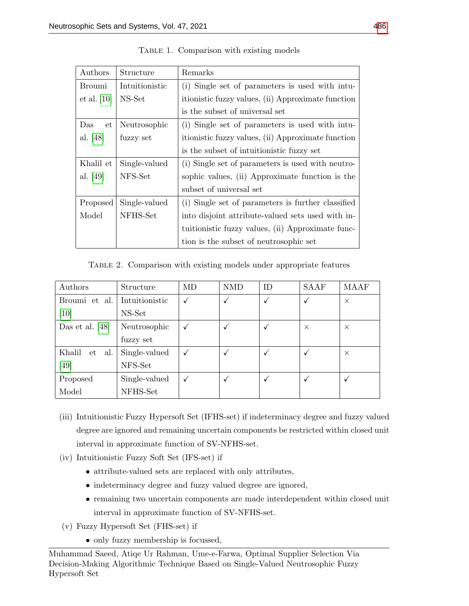<span id="page-14-0"></span>

| Authors                  | Structure     | Remarks                                            |  |  |
|--------------------------|---------------|----------------------------------------------------|--|--|
| Broumi<br>Intuitionistic |               | (i) Single set of parameters is used with intu-    |  |  |
| et al. [10]              | NS-Set        | itionistic fuzzy values, (ii) Approximate function |  |  |
|                          |               | is the subset of universal set                     |  |  |
| Das<br>et                | Neutrosophic  | (i) Single set of parameters is used with intu-    |  |  |
| al. [48]                 | fuzzy set     | itionistic fuzzy values, (ii) Approximate function |  |  |
|                          |               | is the subset of intuitionistic fuzzy set          |  |  |
| Khalil et                | Single-valued | (i) Single set of parameters is used with neutro-  |  |  |
| al. [49]                 | NFS-Set       | sophic values, (ii) Approximate function is the    |  |  |
|                          |               | subset of universal set                            |  |  |
| Proposed                 | Single-valued | (i) Single set of parameters is further classified |  |  |
| Model                    | NFHS-Set      | into disjoint attribute-valued sets used with in-  |  |  |
|                          |               | tuitionistic fuzzy values, (ii) Approximate func-  |  |  |
|                          |               | tion is the subset of neutrosophic set             |  |  |

TABLE 1. Comparison with existing models

Table 2. Comparison with existing models under appropriate features

<span id="page-14-1"></span>

| Authors             | Structure      | MD | <b>NMD</b> | ID           | <b>SAAF</b> | MAAF     |
|---------------------|----------------|----|------------|--------------|-------------|----------|
| Broumi et al.       | Intuitionistic |    |            | √            |             | $\times$ |
| $[10]$              | NS-Set         |    |            |              |             |          |
| Das et al. $[48]$   | Neutrosophic   |    |            | $\checkmark$ | $\times$    | $\times$ |
|                     | fuzzy set      |    |            |              |             |          |
| Khalil<br>al.<br>et | Single-valued  |    |            | $\checkmark$ |             | $\times$ |
| [49]                | NFS-Set        |    |            |              |             |          |
| Proposed            | Single-valued  |    |            | $\checkmark$ |             | v        |
| Model               | NFHS-Set       |    |            |              |             |          |

- (iii) Intuitionistic Fuzzy Hypersoft Set (IFHS-set) if indeterminacy degree and fuzzy valued degree are ignored and remaining uncertain components be restricted within closed unit interval in approximate function of SV-NFHS-set.
- (iv) Intuitionistic Fuzzy Soft Set (IFS-set) if
	- attribute-valued sets are replaced with only attributes,
	- indeterminacy degree and fuzzy valued degree are ignored,
	- remaining two uncertain components are made interdependent within closed unit interval in approximate function of SV-NFHS-set.
- (v) Fuzzy Hypersoft Set (FHS-set) if
	- only fuzzy membership is focussed,

Muhammad Saeed, Atiqe Ur Rahman, Ume-e-Farwa, Optimal Supplier Selection Via Decision-Making Algorithmic Technique Based on Single-Valued Neutrosophic Fuzzy Hypersoft Set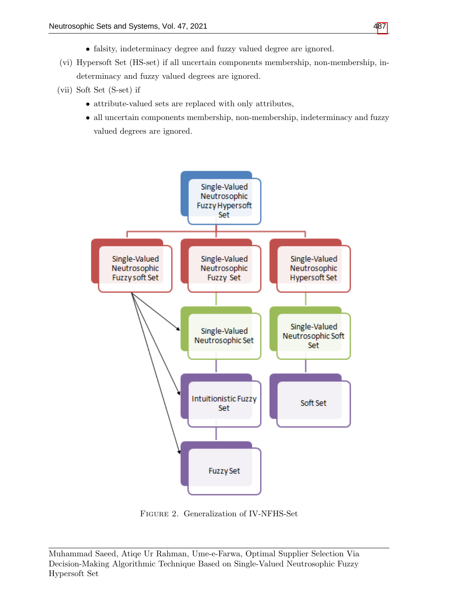- falsity, indeterminacy degree and fuzzy valued degree are ignored.
- (vi) Hypersoft Set (HS-set) if all uncertain components membership, non-membership, indeterminacy and fuzzy valued degrees are ignored.
- (vii) Soft Set (S-set) if
	- attribute-valued sets are replaced with only attributes,
	- all uncertain components membership, non-membership, indeterminacy and fuzzy valued degrees are ignored.

<span id="page-15-0"></span>

Figure 2. Generalization of IV-NFHS-Set

Muhammad Saeed, Atiqe Ur Rahman, Ume-e-Farwa, Optimal Supplier Selection Via Decision-Making Algorithmic Technique Based on Single-Valued Neutrosophic Fuzzy Hypersoft Set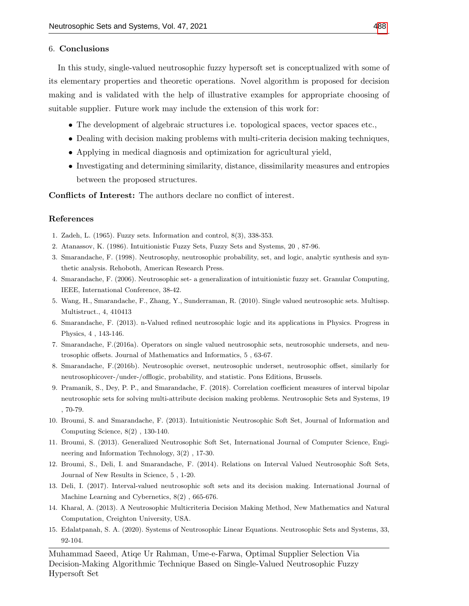## 6. Conclusions

In this study, single-valued neutrosophic fuzzy hypersoft set is conceptualized with some of its elementary properties and theoretic operations. Novel algorithm is proposed for decision making and is validated with the help of illustrative examples for appropriate choosing of suitable supplier. Future work may include the extension of this work for:

- The development of algebraic structures i.e. topological spaces, vector spaces etc.,
- Dealing with decision making problems with multi-criteria decision making techniques,
- Applying in medical diagnosis and optimization for agricultural yield,
- Investigating and determining similarity, distance, dissimilarity measures and entropies between the proposed structures.

Conflicts of Interest: The authors declare no conflict of interest.

## References

- <span id="page-16-0"></span>1. Zadeh, L. (1965). Fuzzy sets. Information and control, 8(3), 338-353.
- <span id="page-16-1"></span>2. Atanassov, K. (1986). Intuitionistic Fuzzy Sets, Fuzzy Sets and Systems, 20 , 87-96.
- <span id="page-16-2"></span>3. Smarandache, F. (1998). Neutrosophy, neutrosophic probability, set, and logic, analytic synthesis and synthetic analysis. Rehoboth, American Research Press.
- <span id="page-16-3"></span>4. Smarandache, F. (2006). Neutrosophic set- a generalization of intuitionistic fuzzy set. Granular Computing, IEEE, International Conference, 38-42.
- <span id="page-16-4"></span>5. Wang, H., Smarandache, F., Zhang, Y., Sunderraman, R. (2010). Single valued neutrosophic sets. Multissp. Multistruct., 4, 410413
- <span id="page-16-5"></span>6. Smarandache, F. (2013). n-Valued refined neutrosophic logic and its applications in Physics. Progress in Physics, 4 , 143-146.
- 7. Smarandache, F.(2016a). Operators on single valued neutrosophic sets, neutrosophic undersets, and neutrosophic offsets. Journal of Mathematics and Informatics, 5 , 63-67.
- 8. Smarandache, F.(2016b). Neutrosophic overset, neutrosophic underset, neutrosophic offset, similarly for neutrosophicover-/under-/offlogic, probability, and statistic. Pons Editions, Brussels.
- 9. Pramanik, S., Dey, P. P., and Smarandache, F. (2018). Correlation coefficient measures of interval bipolar neutrosophic sets for solving multi-attribute decision making problems. Neutrosophic Sets and Systems, 19 , 70-79.
- <span id="page-16-8"></span>10. Broumi, S. and Smarandache, F. (2013). Intuitionistic Neutrosophic Soft Set, Journal of Information and Computing Science, 8(2) , 130-140.
- 11. Broumi, S. (2013). Generalized Neutrosophic Soft Set, International Journal of Computer Science, Engineering and Information Technology, 3(2) , 17-30.
- 12. Broumi, S., Deli, I. and Smarandache, F. (2014). Relations on Interval Valued Neutrosophic Soft Sets, Journal of New Results in Science, 5 , 1-20.
- 13. Deli, I. (2017). Interval-valued neutrosophic soft sets and its decision making. International Journal of Machine Learning and Cybernetics, 8(2) , 665-676.
- <span id="page-16-6"></span>14. Kharal, A. (2013). A Neutrosophic Multicriteria Decision Making Method, New Mathematics and Natural Computation, Creighton University, USA.
- <span id="page-16-7"></span>15. Edalatpanah, S. A. (2020). Systems of Neutrosophic Linear Equations. Neutrosophic Sets and Systems, 33, 92-104.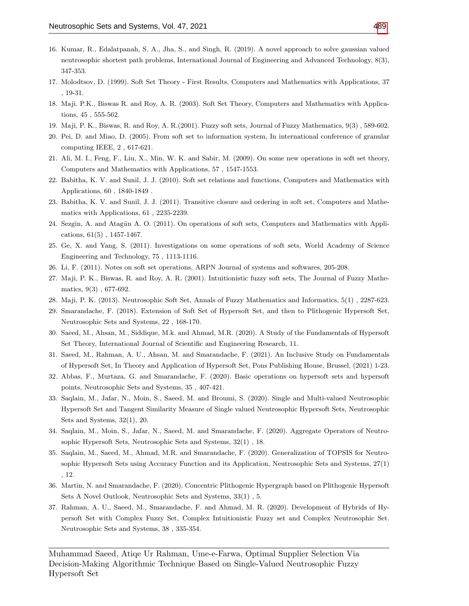- <span id="page-17-0"></span>16. Kumar, R., Edalatpanah, S. A., Jha, S., and Singh, R. (2019). A novel approach to solve gaussian valued neutrosophic shortest path problems, International Journal of Engineering and Advanced Technology, 8(3), 347-353.
- <span id="page-17-1"></span>17. Molodtsov, D. (1999). Soft Set Theory - First Results, Computers and Mathematics with Applications, 37 , 19-31.
- <span id="page-17-2"></span>18. Maji. P.K., Biswas R. and Roy, A. R. (2003). Soft Set Theory, Computers and Mathematics with Applications, 45 , 555-562.
- <span id="page-17-11"></span>19. Maji, P. K., Biswas, R. and Roy, A. R.(2001). Fuzzy soft sets, Journal of Fuzzy Mathematics, 9(3) , 589-602.
- 20. Pei, D. and Miao, D. (2005). From soft set to information system, In international conference of granular computing IEEE, 2 , 617-621.
- 21. Ali, M. I., Feng, F., Liu, X., Min, W. K. and Sabir, M. (2009). On some new operations in soft set theory, Computers and Mathematics with Applications, 57 , 1547-1553.
- 22. Babitha, K. V. and Sunil, J. J. (2010). Soft set relations and functions, Computers and Mathematics with Applications, 60 , 1840-1849 .
- 23. Babitha, K. V. and Sunil, J. J. (2011). Transitive closure and ordering in soft set, Computers and Mathematics with Applications, 61 , 2235-2239.
- 24. Sezgin, A. and Atagün A. O. (2011). On operations of soft sets, Computers and Mathematics with Applications, 61(5) , 1457-1467.
- 25. Ge, X. and Yang, S. (2011). Investigations on some operations of soft sets, World Academy of Science Engineering and Technology, 75 , 1113-1116.
- 26. Li, F. (2011). Notes on soft set operations, ARPN Journal of systems and softwares, 205-208.
- <span id="page-17-3"></span>27. Maji, P. K., Biswas, R. and Roy, A. R. (2001). Intuitionistic fuzzy soft sets, The Journal of Fuzzy Mathematics, 9(3) , 677-692.
- <span id="page-17-4"></span>28. Maji, P. K. (2013). Neutrosophic Soft Set, Annals of Fuzzy Mathematics and Informatics, 5(1) , 2287-623.
- <span id="page-17-5"></span>29. Smarandache, F. (2018). Extension of Soft Set of Hypersoft Set, and then to Plithogenic Hypersoft Set, Neutrosophic Sets and Systems, 22 , 168-170.
- <span id="page-17-6"></span>30. Saeed, M., Ahsan, M., Siddique, M.k. and Ahmad, M.R. (2020). A Study of the Fundamentals of Hypersoft Set Theory, International Journal of Scientific and Engineering Research, 11.
- 31. Saeed, M., Rahman, A. U., Ahsan, M. and Smarandache, F. (2021). An Inclusive Study on Fundamentals of Hypersoft Set, In Theory and Application of Hypersoft Set, Pons Publishing House, Brussel, (2021) 1-23.
- <span id="page-17-7"></span>32. Abbas, F., Murtaza, G. and Smarandache, F. (2020). Basic operations on hypersoft sets and hypersoft points, Neutrosophic Sets and Systems, 35 , 407-421.
- <span id="page-17-8"></span>33. Saqlain, M., Jafar, N., Moin, S., Saeed, M. and Broumi, S. (2020). Single and Multi-valued Neutrosophic Hypersoft Set and Tangent Similarity Measure of Single valued Neutrosophic Hypersoft Sets, Neutrosophic Sets and Systems, 32(1), 20.
- 34. Saqlain, M., Moin, S., Jafar, N., Saeed, M. and Smarandache, F. (2020). Aggregate Operators of Neutrosophic Hypersoft Sets, Neutrosophic Sets and Systems, 32(1) , 18.
- 35. Saqlain, M., Saeed, M., Ahmad, M.R. and Smarandache, F. (2020). Generalization of TOPSIS for Neutrosophic Hypersoft Sets using Accuracy Function and its Application, Neutrosophic Sets and Systems, 27(1) , 12.
- <span id="page-17-9"></span>36. Martin, N. and Smarandache, F. (2020). Concentric Plithogenic Hypergraph based on Plithogenic Hypersoft Sets A Novel Outlook, Neutrosophic Sets and Systems, 33(1) , 5.
- <span id="page-17-10"></span>37. Rahman, A. U., Saeed, M., Smarandache, F. and Ahmad, M. R. (2020). Development of Hybrids of Hypersoft Set with Complex Fuzzy Set, Complex Intuitionistic Fuzzy set and Complex Neutrosophic Set. Neutrosophic Sets and Systems, 38 , 335-354.